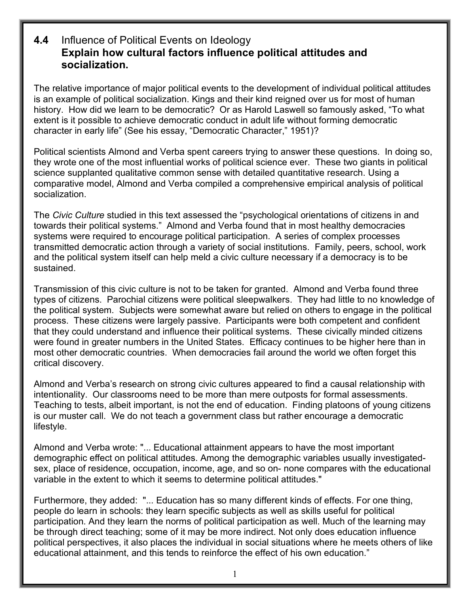## **4.4** Influence of Political Events on Ideology **Explain how cultural factors influence political attitudes and socialization.**

The relative importance of major political events to the development of individual political attitudes is an example of political socialization. Kings and their kind reigned over us for most of human history. How did we learn to be democratic? Or as Harold Laswell so famously asked, "To what extent is it possible to achieve democratic conduct in adult life without forming democratic character in early life" (See his essay, "Democratic Character," 1951)?

Political scientists Almond and Verba spent careers trying to answer these questions. In doing so, they wrote one of the most influential works of political science ever. These two giants in political science supplanted qualitative common sense with detailed quantitative research. Using a comparative model, Almond and Verba compiled a comprehensive empirical analysis of political socialization.

The *Civic Culture* studied in this text assessed the "psychological orientations of citizens in and towards their political systems." Almond and Verba found that in most healthy democracies systems were required to encourage political participation. A series of complex processes transmitted democratic action through a variety of social institutions. Family, peers, school, work and the political system itself can help meld a civic culture necessary if a democracy is to be sustained.

Transmission of this civic culture is not to be taken for granted. Almond and Verba found three types of citizens. Parochial citizens were political sleepwalkers. They had little to no knowledge of the political system. Subjects were somewhat aware but relied on others to engage in the political process. These citizens were largely passive. Participants were both competent and confident that they could understand and influence their political systems. These civically minded citizens were found in greater numbers in the United States. Efficacy continues to be higher here than in most other democratic countries. When democracies fail around the world we often forget this critical discovery.

Almond and Verba's research on strong civic cultures appeared to find a causal relationship with intentionality. Our classrooms need to be more than mere outposts for formal assessments. Teaching to tests, albeit important, is not the end of education. Finding platoons of young citizens is our muster call. We do not teach a government class but rather encourage a democratic lifestyle.

Almond and Verba wrote: "... Educational attainment appears to have the most important demographic effect on political attitudes. Among the demographic variables usually investigatedsex, place of residence, occupation, income, age, and so on- none compares with the educational variable in the extent to which it seems to determine political attitudes."

Furthermore, they added: "... Education has so many different kinds of effects. For one thing, people do learn in schools: they learn specific subjects as well as skills useful for political participation. And they learn the norms of political participation as well. Much of the learning may be through direct teaching; some of it may be more indirect. Not only does education influence political perspectives, it also places the individual in social situations where he meets others of like educational attainment, and this tends to reinforce the effect of his own education."

1